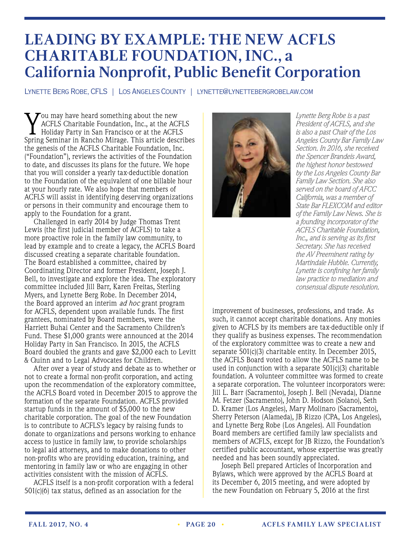## **LEADING BY EXAMPLE: THE NEW ACFLS CHARITABLE FOUNDATION, INC., a California Nonprofit, Public Benefit Corporation**

Lynette Berg Robe, CFLS | Los Angeles County | [lynette@lynettebergrobelaw.com](mailto:lynette@lynettebergrobelaw.com)

 $\tau$ ou may have heard something about the new ACFLS Charitable Foundation, Inc., at the ACFLS Holiday Party in San Francisco or at the ACFLS Spring Seminar in Rancho Mirage. This article describes the genesis of the ACFLS Charitable Foundation, Inc. ("Foundation"), reviews the activities of the Foundation to date, and discusses its plans for the future. We hope that you will consider a yearly tax-deductible donation to the Foundation of the equivalent of one billable hour at your hourly rate. We also hope that members of ACFLS will assist in identifying deserving organizations or persons in their community and encourage them to apply to the Foundation for a grant.

Challenged in early 2014 by Judge Thomas Trent Lewis (the first judicial member of ACFLS) to take a more proactive role in the family law community, to lead by example and to create a legacy, the ACFLS Board discussed creating a separate charitable foundation. The Board established a committee, chaired by Coordinating Director and former President, Joseph J. Bell, to investigate and explore the idea. The exploratory committee included Jill Barr, Karen Freitas, Sterling Myers, and Lynette Berg Robe. In December 2014, the Board approved an interim *ad hoc* grant program for ACFLS, dependent upon available funds. The first grantees, nominated by Board members, were the Harriett Buhai Center and the Sacramento Children's Fund. These \$1,000 grants were announced at the 2014 Holiday Party in San Francisco. In 2015, the ACFLS Board doubled the grants and gave \$2,000 each to Levitt & Quinn and to Legal Advocates for Children.

After over a year of study and debate as to whether or not to create a formal non-profit corporation, and acting upon the recommendation of the exploratory committee, the ACFLS Board voted in December 2015 to approve the formation of the separate Foundation. ACFLS provided startup funds in the amount of \$5,000 to the new charitable corporation. The goal of the new Foundation is to contribute to ACFLS's legacy by raising funds to donate to organizations and persons working to enhance access to justice in family law, to provide scholarships to legal aid attorneys, and to make donations to other non-profits who are providing education, training, and mentoring in family law or who are engaging in other activities consistent with the mission of ACFLS.

ACFLS itself is a non-profit corporation with a federal 501(c)(6) tax status, defined as an association for the



*Lynette Berg Robe is a past President of ACFLS, and she is also a past Chair of the Los Angeles County Bar Family Law Section. In 2016, she received the Spencer Brandeis Award, the highest honor bestowed by the Los Angeles County Bar Family Law Section. She also served on the board of AFCC California, was a member of State Bar FLEXCOM and editor of the Family Law News. She is a founding incorporator of the ACFLS Charitable Foundation, Inc., and is serving as its first Secretary. She has received the AV Preeminent rating by Martindale Hubble. Currently, Lynette is confining her family law practice to mediation and consensual dispute resolution.*

improvement of businesses, professions, and trade. As such, it cannot accept charitable donations. Any monies given to ACFLS by its members are tax-deductible only if they qualify as business expenses. The recommendation of the exploratory committee was to create a new and separate 501(c)(3) charitable entity. In December 2015, the ACFLS Board voted to allow the ACFLS name to be used in conjunction with a separate 501(c)(3) charitable foundation. A volunteer committee was formed to create a separate corporation. The volunteer incorporators were: Jill L. Barr (Sacramento), Joseph J. Bell (Nevada), Dianne M. Fetzer (Sacramento), John D. Hodson (Solano), Seth D. Kramer (Los Angeles), Mary Molinaro (Sacramento), Sherry Peterson (Alameda), JB Rizzo (CPA, Los Angeles), and Lynette Berg Robe (Los Angeles). All Foundation Board members are certified family law specialists and members of ACFLS, except for JB Rizzo, the Foundation's certified public accountant, whose expertise was greatly needed and has been soundly appreciated.

Joseph Bell prepared Articles of Incorporation and Bylaws, which were approved by the ACFLS Board at its December 6, 2015 meeting, and were adopted by the new Foundation on February 5, 2016 at the first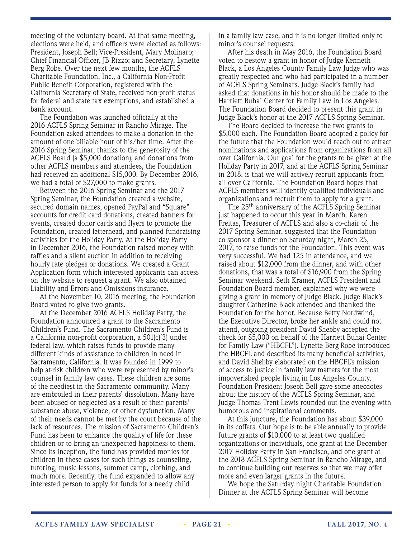meeting of the voluntary board. At that same meeting, elections were held, and officers were elected as follows: President, Joseph Bell; Vice-President, Mary Molinaro; Chief Financial Officer, JB Rizzo; and Secretary, Lynette Berg Robe. Over the next few months, the ACFLS Charitable Foundation, Inc., a California Non-Profit Public Benefit Corporation, registered with the California Secretary of State, received non-profit status for federal and state tax exemptions, and established a bank account.

The Foundation was launched officially at the 2016 ACFLS Spring Seminar in Rancho Mirage. The Foundation asked attendees to make a donation in the amount of one billable hour of his/her time. After the 2016 Spring Seminar, thanks to the generosity of the ACFLS Board (a \$5,000 donation), and donations from other ACFLS members and attendees, the Foundation had received an additional \$15,000. By December 2016, we had a total of \$27,000 to make grants.

Between the 2016 Spring Seminar and the 2017 Spring Seminar, the Foundation created a website, secured domain names, opened PayPal and "Square" accounts for credit card donations, created banners for events, created donor cards and flyers to promote the Foundation, created letterhead, and planned fundraising activities for the Holiday Party. At the Holiday Party in December 2016, the Foundation raised money with raffles and a silent auction in addition to receiving hourly rate pledges or donations. We created a Grant Application form which interested applicants can access on the website to request a grant. We also obtained Liability and Errors and Omissions insurance.

At the November 10, 2016 meeting, the Foundation Board voted to give two grants.

At the December 2016 ACFLS Holiday Party, the Foundation announced a grant to the Sacramento Children's Fund. The Sacramento Children's Fund is a California non-profit corporation, a 501(c)(3) under federal law, which raises funds to provide many different kinds of assistance to children in need in Sacramento, California. It was founded in 1999 to help at-risk children who were represented by minor's counsel in family law cases. These children are some of the neediest in the Sacramento community. Many are embroiled in their parents' dissolution. Many have been abused or neglected as a result of their parents' substance abuse, violence, or other dysfunction. Many of their needs cannot be met by the court because of the lack of resources. The mission of Sacramento Children's Fund has been to enhance the quality of life for these children or to bring an unexpected happiness to them. Since its inception, the fund has provided monies for children in these cases for such things as counseling, tutoring, music lessons, summer camp, clothing, and much more. Recently, the fund expanded to allow any interested person to apply for funds for a needy child

in a family law case, and it is no longer limited only to minor's counsel requests.

After his death in May 2016, the Foundation Board voted to bestow a grant in honor of Judge Kenneth Black, a Los Angeles County Family Law Judge who was greatly respected and who had participated in a number of ACFLS Spring Seminars. Judge Black's family had asked that donations in his honor should be made to the Harriett Buhai Center for Family Law in Los Angeles. The Foundation Board decided to present this grant in Judge Black's honor at the 2017 ACFLS Spring Seminar.

The Board decided to increase the two grants to \$5,000 each. The Foundation Board adopted a policy for the future that the Foundation would reach out to attract nominations and applications from organizations from all over California. Our goal for the grants to be given at the Holiday Party in 2017, and at the ACFLS Spring Seminar in 2018, is that we will actively recruit applicants from all over California. The Foundation Board hopes that ACFLS members will identify qualified individuals and organizations and recruit them to apply for a grant.

The 25th anniversary of the ACFLS Spring Seminar just happened to occur this year in March. Karen Freitas, Treasurer of ACFLS and also a co-chair of the 2017 Spring Seminar, suggested that the Foundation co-sponsor a dinner on Saturday night, March 25, 2017, to raise funds for the Foundation. This event was very successful. We had 125 in attendance, and we raised about \$12,000 from the dinner, and with other donations, that was a total of \$16,900 from the Spring Seminar weekend. Seth Kramer, ACFLS President and Foundation Board member, explained why we were giving a grant in memory of Judge Black. Judge Black's daughter Catherine Black attended and thanked the Foundation for the honor. Because Betty Nordwind, the Executive Director, broke her ankle and could not attend, outgoing president David Shebby accepted the check for \$5,000 on behalf of the Harriett Buhai Center for Family Law ("HBCFL"). Lynette Berg Robe introduced the HBCFL and described its many beneficial activities, and David Shebby elaborated on the HBCFL's mission of access to justice in family law matters for the most impoverished people living in Los Angeles County. Foundation President Joseph Bell gave some anecdotes about the history of the ACFLS Spring Seminar, and Judge Thomas Trent Lewis rounded out the evening with humorous and inspirational comments.

At this juncture, the Foundation has about \$39,000 in its coffers. Our hope is to be able annually to provide future grants of \$10,000 to at least two qualified organizations or individuals, one grant at the December 2017 Holiday Party in San Francisco, and one grant at the 2018 ACFLS Spring Seminar in Rancho Mirage, and to continue building our reserves so that we may offer more and even larger grants in the future.

We hope the Saturday night Charitable Foundation Dinner at the ACFLS Spring Seminar will become